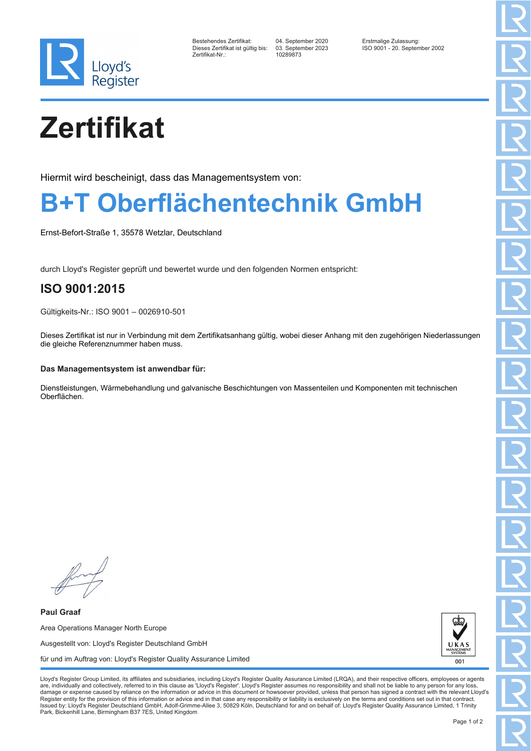

| Bestehendes Zertifikat:         |  |
|---------------------------------|--|
| Dieses Zertifikat ist gültig bi |  |
| Zertifikat-Nr.:                 |  |

Zertifikat-Nr.: 10289873

Bestehendes Zertifikat: 04. September 2020 Erstmalige Zulassung: Dieses Zertifikat ist gültig bis: 03. September 2023 ISO 9001 - 20. September 2002

# **Zertifikat**

Hiermit wird bescheinigt, dass das Managementsystem von:

### **B+T Oberflächentechnik GmbH**

Ernst-Befort-Straße 1, 35578 Wetzlar, Deutschland

durch Lloyd's Register geprüft und bewertet wurde und den folgenden Normen entspricht:

### **ISO 9001:2015**

Gültigkeits-Nr.: ISO 9001 – 0026910-501

Dieses Zertifikat ist nur in Verbindung mit dem Zertifikatsanhang gültig, wobei dieser Anhang mit den zugehörigen Niederlassungen die gleiche Referenznummer haben muss.

#### **Das Managementsystem ist anwendbar für:**

Dienstleistungen, Wärmebehandlung und galvanische Beschichtungen von Massenteilen und Komponenten mit technischen Oberflächen.

**Paul Graaf** Area Operations Manager North Europe Ausgestellt von: Lloyd's Register Deutschland GmbH für und im Auftrag von: Lloyd's Register Quality Assurance Limited



Lloyd's Register Group Limited, its affiliates and subsidiaries, including Lloyd's Register Quality Assurance Limited (LRQA), and their respective officers, employees or agents are, individually and collectively, referred to in this clause as 'Lloyd's Register'. Lloyd's Register assumes no responsibility and shall not be liable to any person for any los damage or expense caused by reliance on the information or advice in this document or howsoever provided, unless that person has signed a contract with the relevant Lloyd's<br>Register entity for the provision of this informa Issued by: Lloyd's Register Deutschland GmbH, Adolf-Grimme-Allee 3, 50829 Köln, Deutschland for and on behalf of: Lloyd's Register Quality Assurance Limited, 1 Trinity Park, Bickenhill Lane, Birmingham B37 7ES, United Kingdom